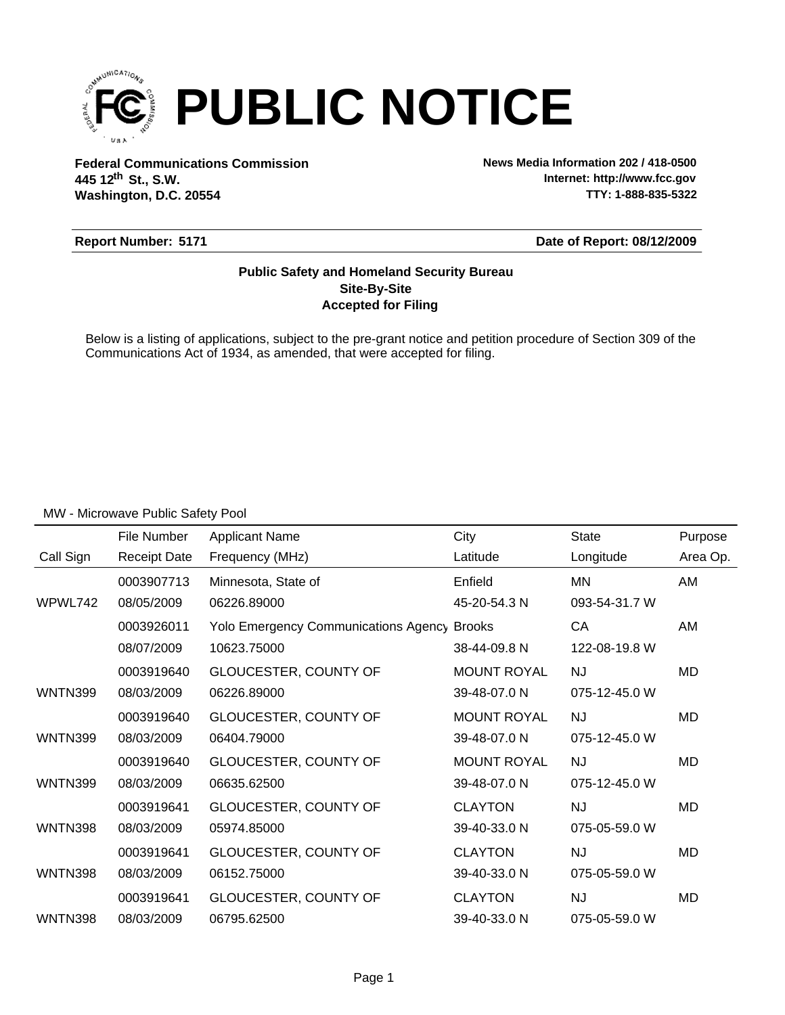

**Federal Communications Commission News Media Information 202 / 418-0500 Washington, D.C. 20554 th 445 12 St., S.W.**

**Internet: http://www.fcc.gov TTY: 1-888-835-5322**

### **Report Number: 5171**

**Date of Report: 08/12/2009**

## **Accepted for Filing Site-By-Site Public Safety and Homeland Security Bureau**

Below is a listing of applications, subject to the pre-grant notice and petition procedure of Section 309 of the Communications Act of 1934, as amended, that were accepted for filing.

|                | File Number         | <b>Applicant Name</b>                              | City               | <b>State</b>  | Purpose  |
|----------------|---------------------|----------------------------------------------------|--------------------|---------------|----------|
| Call Sign      | <b>Receipt Date</b> | Frequency (MHz)                                    | Latitude           | Longitude     | Area Op. |
|                | 0003907713          | Minnesota, State of                                | Enfield            | <b>MN</b>     | AM       |
| WPWL742        | 08/05/2009          | 06226.89000                                        | 45-20-54.3 N       | 093-54-31.7 W |          |
|                | 0003926011          | <b>Yolo Emergency Communications Agency Brooks</b> |                    | CA            | AM       |
|                | 08/07/2009          | 10623.75000                                        | 38-44-09.8 N       | 122-08-19.8 W |          |
|                | 0003919640          | GLOUCESTER, COUNTY OF                              | <b>MOUNT ROYAL</b> | NJ.           | MD       |
| <b>WNTN399</b> | 08/03/2009          | 06226.89000                                        | 39-48-07.0 N       | 075-12-45.0 W |          |
|                | 0003919640          | GLOUCESTER, COUNTY OF                              | <b>MOUNT ROYAL</b> | <b>NJ</b>     | MD       |
| <b>WNTN399</b> | 08/03/2009          | 06404.79000                                        | 39-48-07.0 N       | 075-12-45.0 W |          |
|                | 0003919640          | GLOUCESTER, COUNTY OF                              | <b>MOUNT ROYAL</b> | <b>NJ</b>     | MD       |
| <b>WNTN399</b> | 08/03/2009          | 06635.62500                                        | 39-48-07.0 N       | 075-12-45.0 W |          |
|                | 0003919641          | GLOUCESTER, COUNTY OF                              | <b>CLAYTON</b>     | NJ.           | MD       |
| <b>WNTN398</b> | 08/03/2009          | 05974.85000                                        | 39-40-33.0 N       | 075-05-59.0 W |          |
|                | 0003919641          | GLOUCESTER, COUNTY OF                              | <b>CLAYTON</b>     | <b>NJ</b>     | MD       |
| <b>WNTN398</b> | 08/03/2009          | 06152.75000                                        | 39-40-33.0 N       | 075-05-59.0 W |          |
|                | 0003919641          | GLOUCESTER, COUNTY OF                              | <b>CLAYTON</b>     | <b>NJ</b>     | MD       |
| <b>WNTN398</b> | 08/03/2009          | 06795.62500                                        | 39-40-33.0 N       | 075-05-59.0 W |          |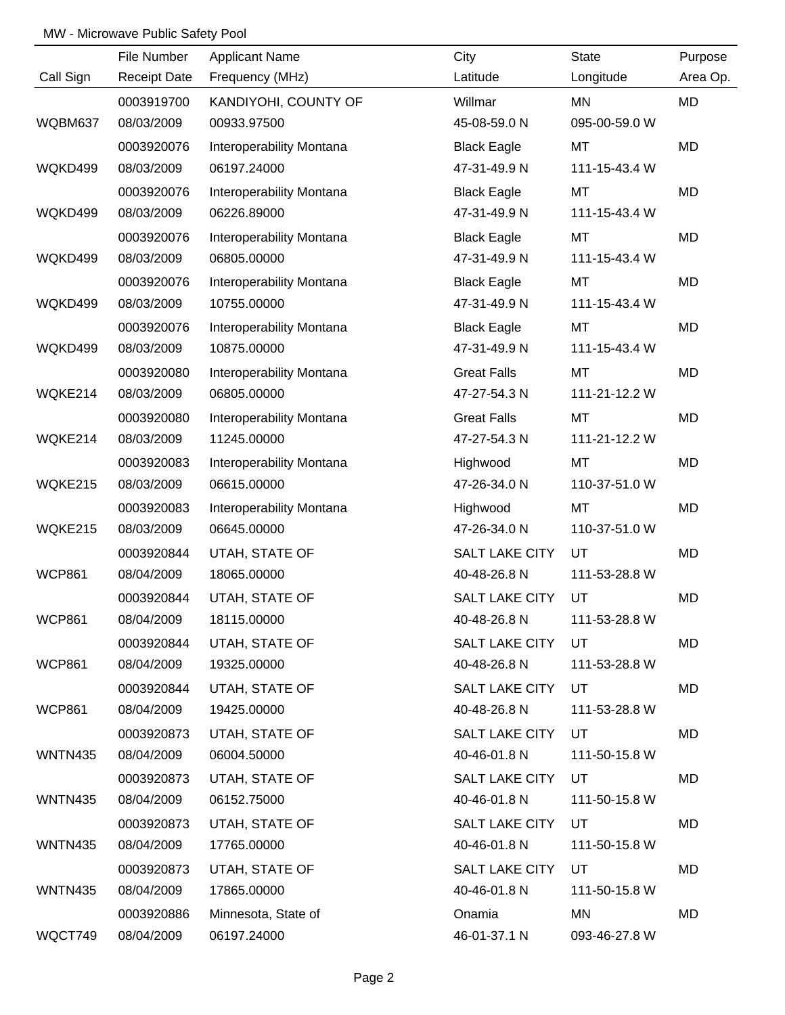|                | File Number         | <b>Applicant Name</b>    | City                  | State         | Purpose   |
|----------------|---------------------|--------------------------|-----------------------|---------------|-----------|
| Call Sign      | <b>Receipt Date</b> | Frequency (MHz)          | Latitude              | Longitude     | Area Op.  |
|                | 0003919700          | KANDIYOHI, COUNTY OF     | Willmar               | MN            | <b>MD</b> |
| WQBM637        | 08/03/2009          | 00933.97500              | 45-08-59.0 N          | 095-00-59.0 W |           |
|                | 0003920076          | Interoperability Montana | <b>Black Eagle</b>    | MT            | <b>MD</b> |
| WQKD499        | 08/03/2009          | 06197.24000              | 47-31-49.9 N          | 111-15-43.4 W |           |
|                | 0003920076          | Interoperability Montana | <b>Black Eagle</b>    | MT            | MD        |
| WQKD499        | 08/03/2009          | 06226.89000              | 47-31-49.9 N          | 111-15-43.4 W |           |
|                | 0003920076          | Interoperability Montana | <b>Black Eagle</b>    | <b>MT</b>     | MD        |
| WQKD499        | 08/03/2009          | 06805.00000              | 47-31-49.9 N          | 111-15-43.4 W |           |
|                | 0003920076          | Interoperability Montana | <b>Black Eagle</b>    | MT            | MD        |
| WQKD499        | 08/03/2009          | 10755.00000              | 47-31-49.9 N          | 111-15-43.4 W |           |
|                | 0003920076          | Interoperability Montana | <b>Black Eagle</b>    | <b>MT</b>     | MD        |
| WQKD499        | 08/03/2009          | 10875.00000              | 47-31-49.9 N          | 111-15-43.4 W |           |
|                | 0003920080          | Interoperability Montana | <b>Great Falls</b>    | MT            | MD        |
| WQKE214        | 08/03/2009          | 06805.00000              | 47-27-54.3 N          | 111-21-12.2 W |           |
|                | 0003920080          | Interoperability Montana | <b>Great Falls</b>    | <b>MT</b>     | MD        |
| WQKE214        | 08/03/2009          | 11245.00000              | 47-27-54.3 N          | 111-21-12.2 W |           |
|                | 0003920083          | Interoperability Montana | Highwood              | MT            | <b>MD</b> |
| WQKE215        | 08/03/2009          | 06615.00000              | 47-26-34.0 N          | 110-37-51.0 W |           |
|                | 0003920083          | Interoperability Montana | Highwood              | MT            | MD        |
| WQKE215        | 08/03/2009          | 06645.00000              | 47-26-34.0 N          | 110-37-51.0 W |           |
|                | 0003920844          | UTAH, STATE OF           | SALT LAKE CITY        | UT            | MD        |
| <b>WCP861</b>  | 08/04/2009          | 18065.00000              | 40-48-26.8 N          | 111-53-28.8 W |           |
|                | 0003920844          | UTAH, STATE OF           | SALT LAKE CITY        | UT            | <b>MD</b> |
| <b>WCP861</b>  | 08/04/2009          | 18115.00000              | 40-48-26.8 N          | 111-53-28.8 W |           |
|                | 0003920844          | UTAH, STATE OF           | SALT LAKE CITY        | UT            | MD        |
| <b>WCP861</b>  | 08/04/2009          | 19325.00000              | 40-48-26.8 N          | 111-53-28.8 W |           |
|                | 0003920844          | UTAH, STATE OF           | <b>SALT LAKE CITY</b> | UT            | MD        |
| <b>WCP861</b>  | 08/04/2009          | 19425.00000              | 40-48-26.8 N          | 111-53-28.8 W |           |
|                | 0003920873          | UTAH, STATE OF           | SALT LAKE CITY        | UT            | MD        |
| WNTN435        | 08/04/2009          | 06004.50000              | 40-46-01.8 N          | 111-50-15.8 W |           |
|                | 0003920873          | UTAH, STATE OF           | SALT LAKE CITY        | UT            | MD        |
| WNTN435        | 08/04/2009          | 06152.75000              | 40-46-01.8 N          | 111-50-15.8 W |           |
|                | 0003920873          | UTAH, STATE OF           | SALT LAKE CITY        | UT            | MD        |
| <b>WNTN435</b> | 08/04/2009          | 17765.00000              | 40-46-01.8 N          | 111-50-15.8 W |           |
|                | 0003920873          | UTAH, STATE OF           | SALT LAKE CITY        | UT            | MD        |
| WNTN435        | 08/04/2009          | 17865.00000              | 40-46-01.8 N          | 111-50-15.8 W |           |
|                | 0003920886          | Minnesota, State of      | Onamia                | MN            | MD        |
| WQCT749        | 08/04/2009          | 06197.24000              | 46-01-37.1 N          | 093-46-27.8 W |           |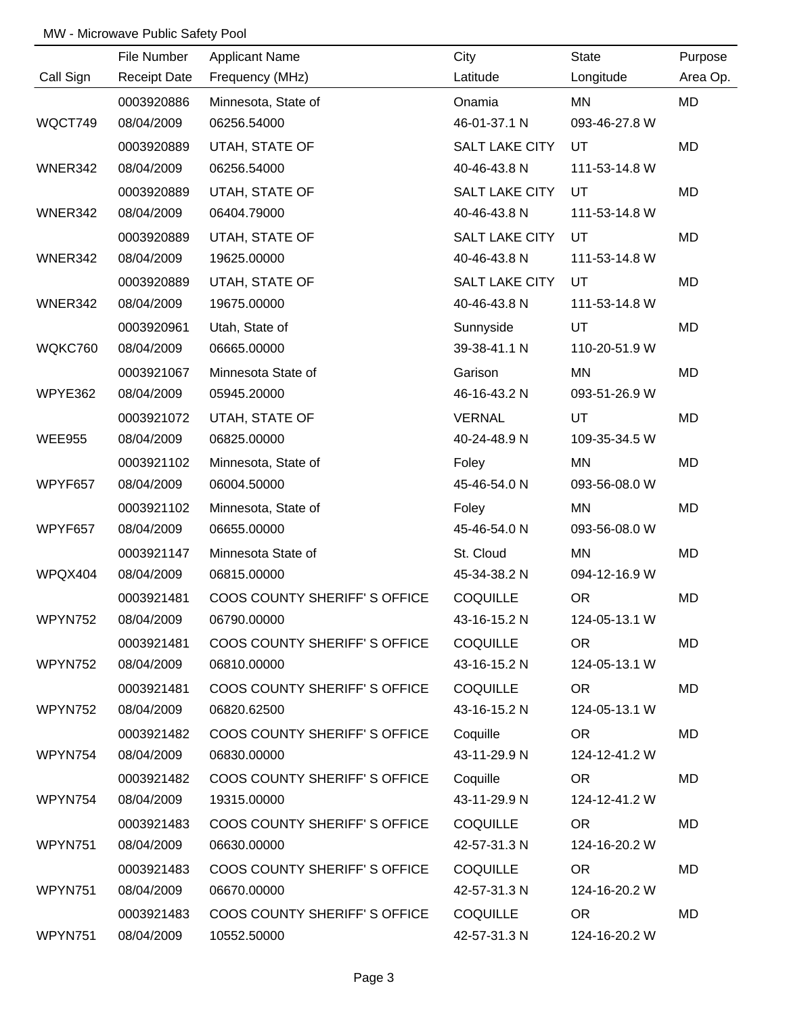|               | File Number         | <b>Applicant Name</b>                 | City                  | State         | Purpose   |
|---------------|---------------------|---------------------------------------|-----------------------|---------------|-----------|
| Call Sign     | <b>Receipt Date</b> | Frequency (MHz)                       | Latitude              | Longitude     | Area Op.  |
|               | 0003920886          | Minnesota, State of                   | Onamia                | MN            | <b>MD</b> |
| WQCT749       | 08/04/2009          | 06256.54000                           | 46-01-37.1 N          | 093-46-27.8 W |           |
|               | 0003920889          | UTAH, STATE OF                        | SALT LAKE CITY        | UT            | <b>MD</b> |
| WNER342       | 08/04/2009          | 06256.54000                           | 40-46-43.8 N          | 111-53-14.8 W |           |
|               | 0003920889          | UTAH, STATE OF                        | SALT LAKE CITY        | UT            | MD        |
| WNER342       | 08/04/2009          | 06404.79000                           | 40-46-43.8 N          | 111-53-14.8 W |           |
|               | 0003920889          | UTAH, STATE OF                        | <b>SALT LAKE CITY</b> | UT            | MD        |
| WNER342       | 08/04/2009          | 19625.00000                           | 40-46-43.8 N          | 111-53-14.8 W |           |
|               | 0003920889          | UTAH, STATE OF                        | <b>SALT LAKE CITY</b> | <b>UT</b>     | MD        |
| WNER342       | 08/04/2009          | 19675.00000                           | 40-46-43.8 N          | 111-53-14.8 W |           |
|               | 0003920961          | Utah, State of                        | Sunnyside             | UT            | MD        |
| WQKC760       | 08/04/2009          | 06665.00000                           | 39-38-41.1 N          | 110-20-51.9 W |           |
|               | 0003921067          | Minnesota State of                    | Garison               | MN            | MD        |
| WPYE362       | 08/04/2009          | 05945.20000                           | 46-16-43.2 N          | 093-51-26.9 W |           |
|               | 0003921072          | UTAH, STATE OF                        | <b>VERNAL</b>         | UT            | MD        |
| <b>WEE955</b> | 08/04/2009          | 06825.00000                           | 40-24-48.9 N          | 109-35-34.5 W |           |
|               | 0003921102          | Minnesota, State of                   | Foley                 | MN            | MD        |
| WPYF657       | 08/04/2009          | 06004.50000                           | 45-46-54.0 N          | 093-56-08.0 W |           |
|               | 0003921102          | Minnesota, State of                   | Foley                 | MN            | MD        |
| WPYF657       | 08/04/2009          | 06655.00000                           | 45-46-54.0 N          | 093-56-08.0 W |           |
|               | 0003921147          | Minnesota State of                    | St. Cloud             | MN            | MD        |
| WPQX404       | 08/04/2009          | 06815.00000                           | 45-34-38.2 N          | 094-12-16.9 W |           |
|               | 0003921481          | COOS COUNTY SHERIFF'S OFFICE          | <b>COQUILLE</b>       | <b>OR</b>     | MD        |
| WPYN752       | 08/04/2009          | 06790.00000                           | 43-16-15.2 N          | 124-05-13.1 W |           |
|               | 0003921481          | COOS COUNTY SHERIFF'S OFFICE COQUILLE |                       | OR.           | MD        |
| WPYN752       | 08/04/2009          | 06810.00000                           | 43-16-15.2 N          | 124-05-13.1 W |           |
|               | 0003921481          | COOS COUNTY SHERIFF'S OFFICE          | <b>COQUILLE</b>       | OR.           | <b>MD</b> |
| WPYN752       | 08/04/2009          | 06820.62500                           | 43-16-15.2 N          | 124-05-13.1 W |           |
|               | 0003921482          | COOS COUNTY SHERIFF'S OFFICE          | Coquille              | OR            | MD        |
| WPYN754       | 08/04/2009          | 06830.00000                           | 43-11-29.9 N          | 124-12-41.2 W |           |
|               | 0003921482          | COOS COUNTY SHERIFF'S OFFICE          | Coquille              | OR            | <b>MD</b> |
| WPYN754       | 08/04/2009          | 19315.00000                           | 43-11-29.9 N          | 124-12-41.2 W |           |
|               | 0003921483          | COOS COUNTY SHERIFF'S OFFICE          | <b>COQUILLE</b>       | <b>OR</b>     | <b>MD</b> |
| WPYN751       | 08/04/2009          | 06630.00000                           | 42-57-31.3 N          | 124-16-20.2 W |           |
|               | 0003921483          | COOS COUNTY SHERIFF'S OFFICE          | <b>COQUILLE</b>       | <b>OR</b>     | <b>MD</b> |
| WPYN751       | 08/04/2009          | 06670.00000                           | 42-57-31.3 N          | 124-16-20.2 W |           |
|               | 0003921483          | COOS COUNTY SHERIFF'S OFFICE          | <b>COQUILLE</b>       | <b>OR</b>     | MD        |
| WPYN751       | 08/04/2009          | 10552.50000                           | 42-57-31.3 N          | 124-16-20.2 W |           |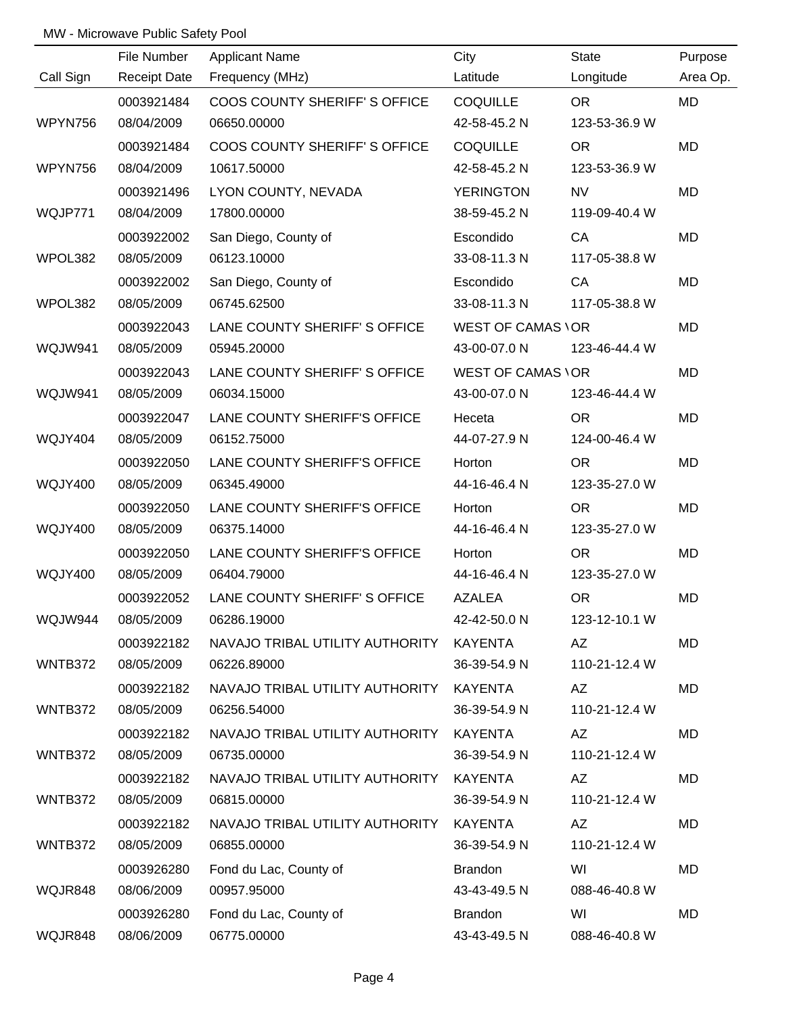|                | File Number         | <b>Applicant Name</b>                   | City                     | <b>State</b>  | Purpose   |
|----------------|---------------------|-----------------------------------------|--------------------------|---------------|-----------|
| Call Sign      | <b>Receipt Date</b> | Frequency (MHz)                         | Latitude                 | Longitude     | Area Op.  |
|                | 0003921484          | COOS COUNTY SHERIFF'S OFFICE            | <b>COQUILLE</b>          | <b>OR</b>     | <b>MD</b> |
| WPYN756        | 08/04/2009          | 06650.00000                             | 42-58-45.2 N             | 123-53-36.9 W |           |
|                | 0003921484          | COOS COUNTY SHERIFF'S OFFICE            | <b>COQUILLE</b>          | <b>OR</b>     | <b>MD</b> |
| WPYN756        | 08/04/2009          | 10617.50000                             | 42-58-45.2 N             | 123-53-36.9 W |           |
|                | 0003921496          | LYON COUNTY, NEVADA                     | <b>YERINGTON</b>         | <b>NV</b>     | MD        |
| WQJP771        | 08/04/2009          | 17800.00000                             | 38-59-45.2 N             | 119-09-40.4 W |           |
|                | 0003922002          | San Diego, County of                    | Escondido                | CA            | MD        |
| WPOL382        | 08/05/2009          | 06123.10000                             | 33-08-11.3 N             | 117-05-38.8 W |           |
|                | 0003922002          | San Diego, County of                    | Escondido                | CA            | MD        |
| WPOL382        | 08/05/2009          | 06745.62500                             | 33-08-11.3 N             | 117-05-38.8 W |           |
|                | 0003922043          | LANE COUNTY SHERIFF'S OFFICE            | <b>WEST OF CAMAS VOR</b> |               | MD        |
| WQJW941        | 08/05/2009          | 05945.20000                             | 43-00-07.0 N             | 123-46-44.4 W |           |
|                | 0003922043          | LANE COUNTY SHERIFF'S OFFICE            | <b>WEST OF CAMAS VOR</b> |               | MD        |
| WQJW941        | 08/05/2009          | 06034.15000                             | 43-00-07.0 N             | 123-46-44.4 W |           |
|                | 0003922047          | LANE COUNTY SHERIFF'S OFFICE            | Heceta                   | <b>OR</b>     | MD        |
| WQJY404        | 08/05/2009          | 06152.75000                             | 44-07-27.9 N             | 124-00-46.4 W |           |
|                | 0003922050          | LANE COUNTY SHERIFF'S OFFICE            | Horton                   | <b>OR</b>     | MD        |
| <b>WQJY400</b> | 08/05/2009          | 06345.49000                             | 44-16-46.4 N             | 123-35-27.0 W |           |
|                | 0003922050          | LANE COUNTY SHERIFF'S OFFICE            | Horton                   | <b>OR</b>     | MD        |
| <b>WQJY400</b> | 08/05/2009          | 06375.14000                             | 44-16-46.4 N             | 123-35-27.0 W |           |
|                | 0003922050          | LANE COUNTY SHERIFF'S OFFICE            | Horton                   | <b>OR</b>     | <b>MD</b> |
| <b>WQJY400</b> | 08/05/2009          | 06404.79000                             | 44-16-46.4 N             | 123-35-27.0 W |           |
|                | 0003922052          | LANE COUNTY SHERIFF' S OFFICE           | <b>AZALEA</b>            | <b>OR</b>     | MD        |
| WQJW944        | 08/05/2009          | 06286.19000                             | 42-42-50.0 N             | 123-12-10.1 W |           |
|                | 0003922182          | NAVAJO TRIBAL UTILITY AUTHORITY KAYENTA |                          | AZ            | MD        |
| WNTB372        | 08/05/2009          | 06226.89000                             | 36-39-54.9 N             | 110-21-12.4 W |           |
|                | 0003922182          | NAVAJO TRIBAL UTILITY AUTHORITY KAYENTA |                          | AZ            | MD        |
| WNTB372        | 08/05/2009          | 06256.54000                             | 36-39-54.9 N             | 110-21-12.4 W |           |
|                | 0003922182          | NAVAJO TRIBAL UTILITY AUTHORITY KAYENTA |                          | AZ            | MD        |
| WNTB372        | 08/05/2009          | 06735.00000                             | 36-39-54.9 N             | 110-21-12.4 W |           |
|                | 0003922182          | NAVAJO TRIBAL UTILITY AUTHORITY KAYENTA |                          | AZ            | MD        |
| WNTB372        | 08/05/2009          | 06815.00000                             | 36-39-54.9 N             | 110-21-12.4 W |           |
|                | 0003922182          | NAVAJO TRIBAL UTILITY AUTHORITY         | KAYENTA                  | AZ            | MD        |
| WNTB372        | 08/05/2009          | 06855.00000                             | 36-39-54.9 N             | 110-21-12.4 W |           |
|                | 0003926280          | Fond du Lac, County of                  | <b>Brandon</b>           | WI            | MD        |
| WQJR848        | 08/06/2009          | 00957.95000                             | 43-43-49.5 N             | 088-46-40.8 W |           |
|                | 0003926280          | Fond du Lac, County of                  | <b>Brandon</b>           | WI            | MD        |
| WQJR848        | 08/06/2009          | 06775.00000                             | 43-43-49.5 N             | 088-46-40.8 W |           |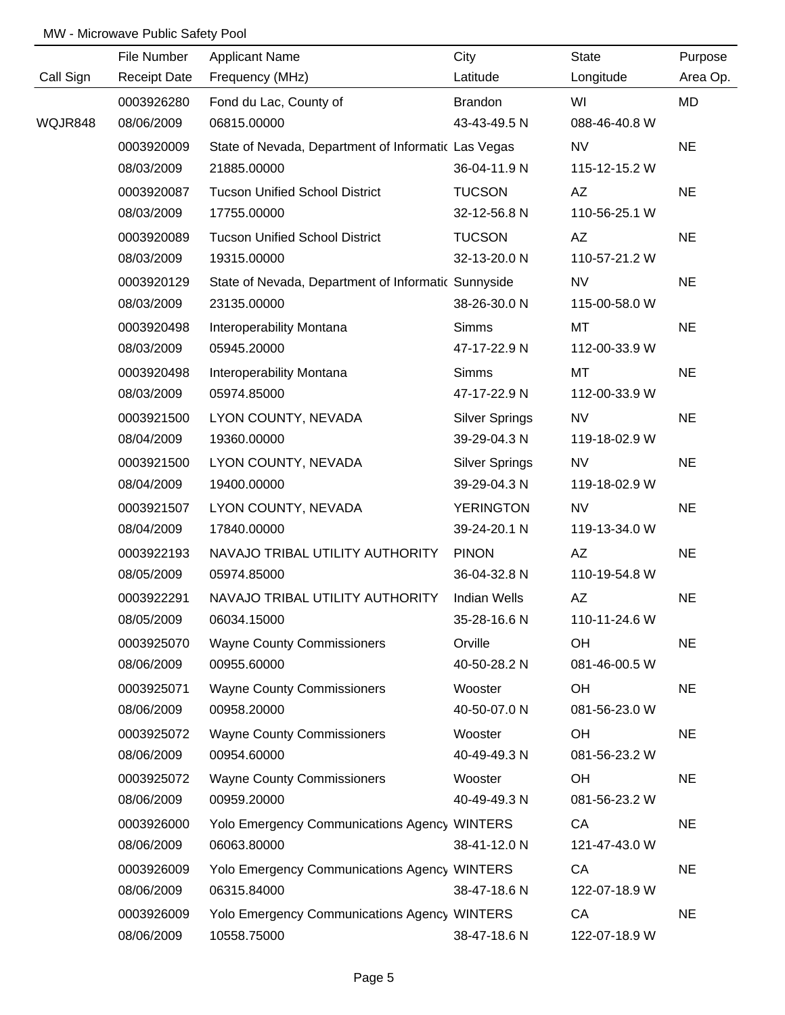|           | File Number         | <b>Applicant Name</b>                               | City                  | <b>State</b>  | Purpose   |
|-----------|---------------------|-----------------------------------------------------|-----------------------|---------------|-----------|
| Call Sign | <b>Receipt Date</b> | Frequency (MHz)                                     | Latitude              | Longitude     | Area Op.  |
|           | 0003926280          | Fond du Lac, County of                              | <b>Brandon</b>        | WI            | MD        |
| WQJR848   | 08/06/2009          | 06815.00000                                         | 43-43-49.5 N          | 088-46-40.8 W |           |
|           | 0003920009          | State of Nevada, Department of Informatic Las Vegas |                       | <b>NV</b>     | <b>NE</b> |
|           | 08/03/2009          | 21885.00000                                         | 36-04-11.9 N          | 115-12-15.2 W |           |
|           | 0003920087          | <b>Tucson Unified School District</b>               | <b>TUCSON</b>         | AZ            | <b>NE</b> |
|           | 08/03/2009          | 17755.00000                                         | 32-12-56.8 N          | 110-56-25.1 W |           |
|           | 0003920089          | <b>Tucson Unified School District</b>               | <b>TUCSON</b>         | AZ            | <b>NE</b> |
|           | 08/03/2009          | 19315.00000                                         | 32-13-20.0 N          | 110-57-21.2 W |           |
|           | 0003920129          | State of Nevada, Department of Informatic Sunnyside |                       | <b>NV</b>     | <b>NE</b> |
|           | 08/03/2009          | 23135.00000                                         | 38-26-30.0 N          | 115-00-58.0 W |           |
|           | 0003920498          | Interoperability Montana                            | <b>Simms</b>          | MT            | <b>NE</b> |
|           | 08/03/2009          | 05945.20000                                         | 47-17-22.9 N          | 112-00-33.9 W |           |
|           | 0003920498          | Interoperability Montana                            | <b>Simms</b>          | MT            | <b>NE</b> |
|           | 08/03/2009          | 05974.85000                                         | 47-17-22.9 N          | 112-00-33.9 W |           |
|           | 0003921500          | LYON COUNTY, NEVADA                                 | <b>Silver Springs</b> | <b>NV</b>     | <b>NE</b> |
|           | 08/04/2009          | 19360.00000                                         | 39-29-04.3 N          | 119-18-02.9 W |           |
|           | 0003921500          | LYON COUNTY, NEVADA                                 | <b>Silver Springs</b> | <b>NV</b>     | <b>NE</b> |
|           | 08/04/2009          | 19400.00000                                         | 39-29-04.3 N          | 119-18-02.9 W |           |
|           | 0003921507          | LYON COUNTY, NEVADA                                 | <b>YERINGTON</b>      | <b>NV</b>     | <b>NE</b> |
|           | 08/04/2009          | 17840.00000                                         | 39-24-20.1 N          | 119-13-34.0 W |           |
|           | 0003922193          | NAVAJO TRIBAL UTILITY AUTHORITY                     | <b>PINON</b>          | AZ            | <b>NE</b> |
|           | 08/05/2009          | 05974.85000                                         | 36-04-32.8 N          | 110-19-54.8 W |           |
|           | 0003922291          | NAVAJO TRIBAL UTILITY AUTHORITY                     | <b>Indian Wells</b>   | AZ            | <b>NE</b> |
|           | 08/05/2009          | 06034.15000                                         | 35-28-16.6 N          | 110-11-24.6 W |           |
|           | 0003925070          | <b>Wayne County Commissioners</b>                   | Orville               | OH            | <b>NE</b> |
|           | 08/06/2009          | 00955.60000                                         | 40-50-28.2 N          | 081-46-00.5 W |           |
|           | 0003925071          | <b>Wayne County Commissioners</b>                   | Wooster               | OH            | <b>NE</b> |
|           | 08/06/2009          | 00958.20000                                         | 40-50-07.0 N          | 081-56-23.0 W |           |
|           | 0003925072          | <b>Wayne County Commissioners</b>                   | Wooster               | OH            | <b>NE</b> |
|           | 08/06/2009          | 00954.60000                                         | 40-49-49.3 N          | 081-56-23.2 W |           |
|           | 0003925072          | <b>Wayne County Commissioners</b>                   | Wooster               | <b>OH</b>     | <b>NE</b> |
|           | 08/06/2009          | 00959.20000                                         | 40-49-49.3 N          | 081-56-23.2 W |           |
|           | 0003926000          | <b>Yolo Emergency Communications Agency WINTERS</b> |                       | CA            | <b>NE</b> |
|           | 08/06/2009          | 06063.80000                                         | 38-41-12.0 N          | 121-47-43.0 W |           |
|           | 0003926009          | <b>Yolo Emergency Communications Agency WINTERS</b> |                       | CA            | <b>NE</b> |
|           | 08/06/2009          | 06315.84000                                         | 38-47-18.6 N          | 122-07-18.9 W |           |
|           | 0003926009          | <b>Yolo Emergency Communications Agency WINTERS</b> |                       | CA            | <b>NE</b> |
|           | 08/06/2009          | 10558.75000                                         | 38-47-18.6 N          | 122-07-18.9 W |           |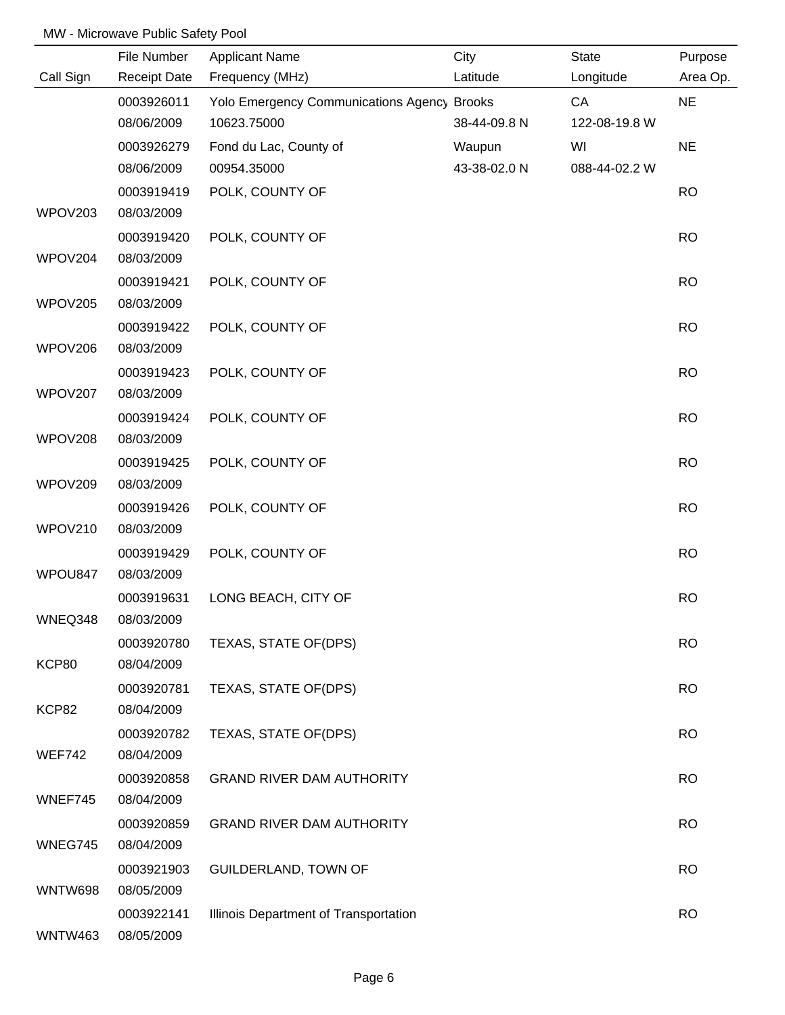|                | File Number              | <b>Applicant Name</b>                       | City         | <b>State</b>  | Purpose   |
|----------------|--------------------------|---------------------------------------------|--------------|---------------|-----------|
| Call Sign      | <b>Receipt Date</b>      | Frequency (MHz)                             | Latitude     | Longitude     | Area Op.  |
|                | 0003926011               | Yolo Emergency Communications Agency Brooks |              | CA            | <b>NE</b> |
|                | 08/06/2009               | 10623.75000                                 | 38-44-09.8 N | 122-08-19.8 W |           |
|                | 0003926279               | Fond du Lac, County of                      | Waupun       | WI            | <b>NE</b> |
|                | 08/06/2009               | 00954.35000                                 | 43-38-02.0 N | 088-44-02.2 W |           |
|                | 0003919419               | POLK, COUNTY OF                             |              |               | <b>RO</b> |
| WPOV203        | 08/03/2009               |                                             |              |               |           |
|                | 0003919420               | POLK, COUNTY OF                             |              |               | <b>RO</b> |
| WPOV204        | 08/03/2009               |                                             |              |               |           |
|                | 0003919421               | POLK, COUNTY OF                             |              |               | <b>RO</b> |
| WPOV205        | 08/03/2009               |                                             |              |               |           |
| WPOV206        | 0003919422<br>08/03/2009 | POLK, COUNTY OF                             |              |               | <b>RO</b> |
|                | 0003919423               | POLK, COUNTY OF                             |              |               | <b>RO</b> |
| WPOV207        | 08/03/2009               |                                             |              |               |           |
|                | 0003919424               | POLK, COUNTY OF                             |              |               | <b>RO</b> |
| WPOV208        | 08/03/2009               |                                             |              |               |           |
|                | 0003919425               | POLK, COUNTY OF                             |              |               | <b>RO</b> |
| WPOV209        | 08/03/2009               |                                             |              |               |           |
|                | 0003919426               | POLK, COUNTY OF                             |              |               | <b>RO</b> |
| WPOV210        | 08/03/2009               |                                             |              |               |           |
|                | 0003919429               | POLK, COUNTY OF                             |              |               | <b>RO</b> |
| WPOU847        | 08/03/2009               |                                             |              |               |           |
|                | 0003919631               | LONG BEACH, CITY OF                         |              |               | <b>RO</b> |
| WNEQ348        | 08/03/2009               |                                             |              |               |           |
|                | 0003920780               | TEXAS, STATE OF(DPS)                        |              |               | <b>RO</b> |
| KCP80          | 08/04/2009               |                                             |              |               |           |
|                | 0003920781               | TEXAS, STATE OF(DPS)                        |              |               | <b>RO</b> |
| KCP82          | 08/04/2009               |                                             |              |               |           |
|                | 0003920782               | TEXAS, STATE OF(DPS)                        |              |               | <b>RO</b> |
| <b>WEF742</b>  | 08/04/2009               |                                             |              |               |           |
|                | 0003920858               | <b>GRAND RIVER DAM AUTHORITY</b>            |              |               | <b>RO</b> |
| WNEF745        | 08/04/2009               |                                             |              |               |           |
|                | 0003920859               | <b>GRAND RIVER DAM AUTHORITY</b>            |              |               | <b>RO</b> |
| WNEG745        | 08/04/2009               |                                             |              |               |           |
|                | 0003921903               | <b>GUILDERLAND, TOWN OF</b>                 |              |               | <b>RO</b> |
| WNTW698        | 08/05/2009               |                                             |              |               |           |
|                | 0003922141               | Illinois Department of Transportation       |              |               | <b>RO</b> |
| <b>WNTW463</b> | 08/05/2009               |                                             |              |               |           |